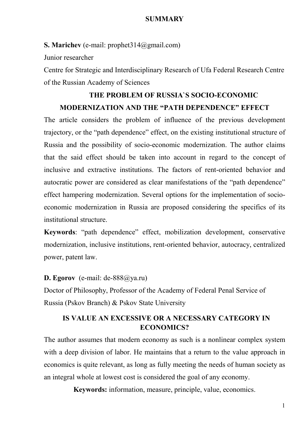#### **SUMMARY**

**S. Marichev** (e-mail: prophet314@gmail.com)

Junior researcher

Centre for Strategic and Interdisciplinary Research of Ufa Federal Research Centre of the Russian Academy of Sciences

## **THE PROBLEM OF RUSSIA`S SOCIO-ECONOMIC MODERNIZATION AND THE "PATH DEPENDENCE" EFFECT**

The article considers the problem of influence of the previous development trajectory, or the "path dependence" effect, on the existing institutional structure of Russia and the possibility of socio-economic modernization. The author claims that the said effect should be taken into account in regard to the concept of inclusive and extractive institutions. The factors of rent-oriented behavior and autocratic power are considered as clear manifestations of the "path dependence" effect hampering modernization. Several options for the implementation of socioeconomic modernization in Russia are proposed considering the specifics of its institutional structure.

**Keywords**: "path dependence" effect, mobilization development, conservative modernization, inclusive institutions, rent-oriented behavior, autocracy, centralized power, patent law.

**D. Egorov** (e-mail: de-888@ya.ru)

Doctor of Philosophy, Professor of the Academy of Federal Penal Service of Russia (Pskov Branch) & Pskov State University

### **IS VALUE AN EXCESSIVE OR A NECESSARY CATEGORY IN ECONOMICS?**

The author assumes that modern economy as such is a nonlinear complex system with a deep division of labor. He maintains that a return to the value approach in economics is quite relevant, as long as fully meeting the needs of human society as an integral whole at lowest cost is considered the goal of any economy.

**Keywords:** information, measure, principle, value, economics.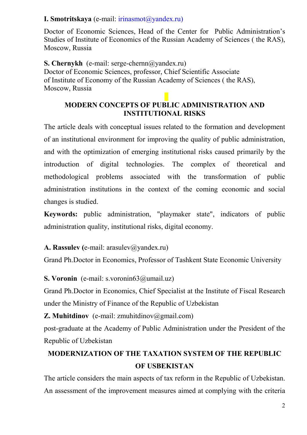### **I. Smotritskaya** (е-mail: irinasmot@yandex.ru)

Doctor of Economic Sciences, Head of the Center for Public Administration's Studies of Institute of Economics of the Russian Academy of Sciences ( the RAS), Moscow, Russia

**S. Chernykh** (е-mail: serge-chernn@yandex.ru) Doctor of Economic Sciences, professor, Chief Scientific Associate of Institute of Economy of the Russian Academy of Sciences ( the RAS), Moscow, Russia

### **MODERN CONCEPTS OF PUBLIC ADMINISTRATION AND INSTITUTIONAL RISKS**

The article deals with conceptual issues related to the formation and development of an institutional environment for improving the quality of public administration, and with the optimization of emerging institutional risks caused primarily by the introduction of digital technologies. The complex of theoretical and methodological problems associated with the transformation of public administration institutions in the context of the coming economic and social changes is studied.

**Keywords:** public administration, "playmaker state", indicators of public administration quality, institutional risks, digital economy.

A. Rassulev (e-mail: arasulev@yandex.ru)

Grand Ph.Doctor in Economics, Professor of Tashkent State Economic University

**S. Voronin** (e-mail: s.voronin63@umail.uz)

Grand Ph.Doctor in Economics, Chief Specialist at the Institute of Fiscal Research under the Ministry of Finance of the Republic of Uzbekistan

**Z. Muhitdinov** (e-mail: zmuhitdinov $\omega$ gmail.com)

post-graduate at the Academy of Public Administration under the President of the Republic of Uzbekistan

# **MODERNIZATION OF THE TAXATION SYSTEM OF THE REPUBLIC OF USBEKISTAN**

The article considers the main aspects of tax reform in the Republic of Uzbekistan. An assessment of the improvement measures aimed at complying with the criteria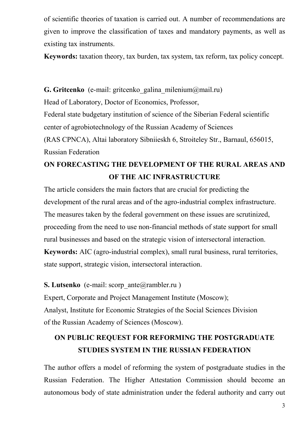of scientific theories of taxation is carried out. A number of recommendations are given to improve the classification of taxes and mandatory payments, as well as existing tax instruments.

**Keywords:** taxation theory, tax burden, tax system, tax reform, tax policy concept.

**G. Gritcenko** (e-mail: gritcenko galina milenium@mail.ru) Head of Laboratory, Doctor of Economics, Professor, Federal state budgetary institution of science of the Siberian Federal scientific center of agrobiotechnology of the Russian Academy of Sciences (RAS CPNCA), Altai laboratory Sibniieskh 6, Stroiteley Str., Barnaul, 656015, Russian Federation

# **ON FORECASTING THE DEVELOPMENT OF THE RURAL AREAS AND OF THE AIС INFRASTRUCTURE**

The article considers the main factors that are crucial for predicting the development of the rural areas and of the agro-industrial complex infrastructure. The measures taken by the federal government on these issues are scrutinized, proceeding from the need to use non-financial methods of state support for small rural businesses and based on the strategic vision of intersectoral interaction. **Keywords:** AIС (agro-industrial complex), small rural business, rural territories, state support, strategic vision, intersectoral interaction.

**S. Lutsenko** (e-mail: scorp\_ante@rambler.ru)

Expert, Corporate and Project Management Institute (Moscow); Analyst, Institute for Economic Strategies of the Social Sciences Division of the Russian Academy of Sciences (Moscow).

# **ON PUBLIC REQUEST FOR REFORMING THE POSTGRADUATE STUDIES SYSTEM IN THE RUSSIAN FEDERATION**

The author offers a model of reforming the system of postgraduate studies in the Russian Federation. The Higher Attestation Commission should become an autonomous body of state administration under the federal authority and carry out